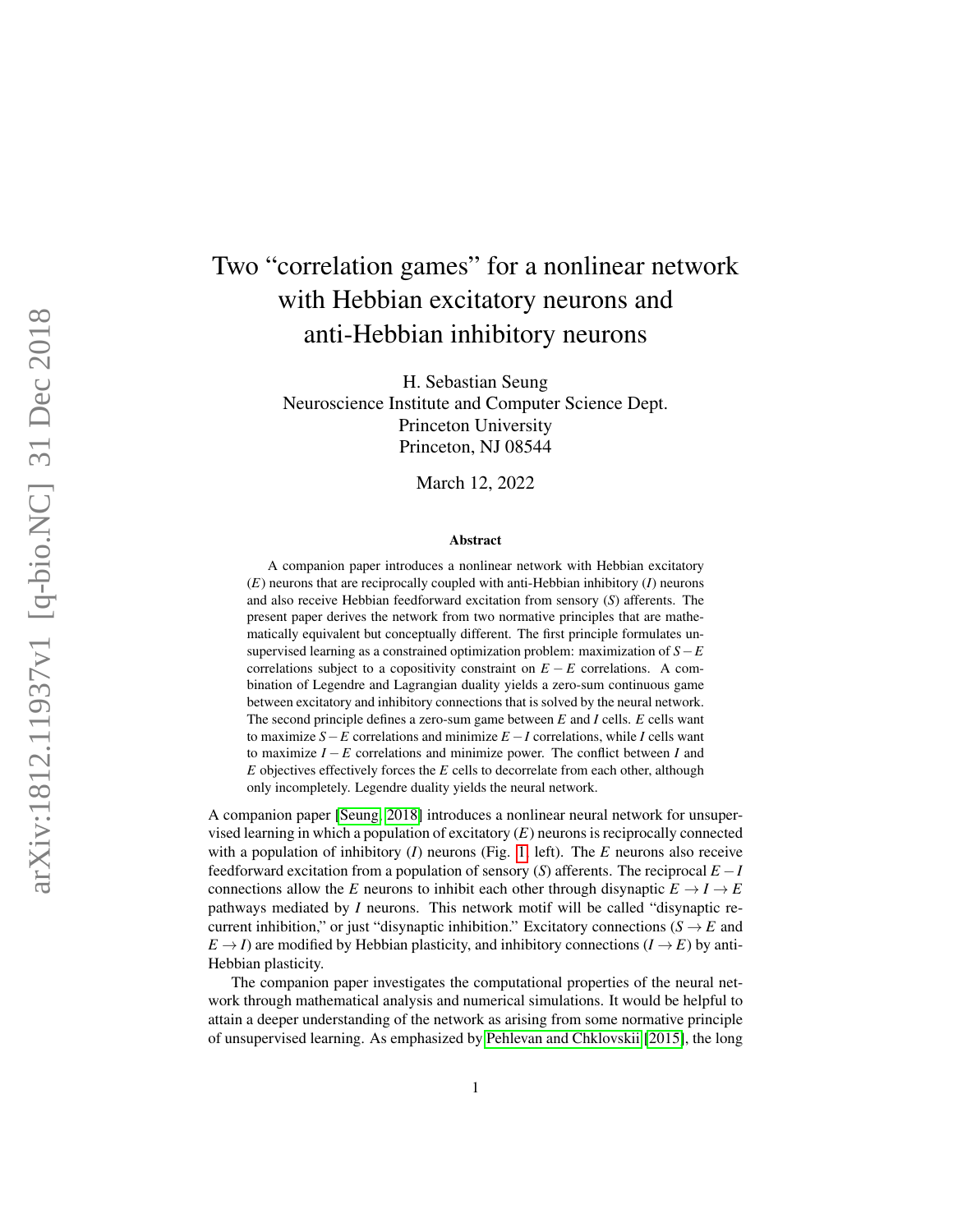# Two "correlation games" for a nonlinear network with Hebbian excitatory neurons and anti-Hebbian inhibitory neurons

H. Sebastian Seung Neuroscience Institute and Computer Science Dept. Princeton University Princeton, NJ 08544

March 12, 2022

#### Abstract

A companion paper introduces a nonlinear network with Hebbian excitatory ( *E*) neurons that are reciprocally coupled with anti-Hebbian inhibitory ( *I*) neurons and also receive Hebbian feedforward excitation from sensory ( *S*) afferents. The present paper derives the network from two normative principles that are mathematically equivalent but conceptually different. The first principle formulates unsupervised learning as a constrained optimization problem: maximization of *S*−*E* correlations subject to a copositivity constraint on  $E - E$  correlations. A combination of Legendre and Lagrangian duality yields a zero-sum continuous game between excitatory and inhibitory connections that is solved by the neural network. The second principle defines a zero-sum game between *E* and *I* cells. *E* cells want to maximize  $S - E$  correlations and minimize  $E - I$  correlations, while I cells want to maximize  $I - E$  correlations and minimize power. The conflict between  $I$  and *E* objectives effectively forces the *E* cells to decorrelate from each other, although only incompletely. Legendre duality yields the neural network.

A companion paper [\[Seung, 2018\]](#page-8-0) introduces a nonlinear neural network for unsupervised learning in which a population of excitatory (*E*) neurons is reciprocally connected with a population of inhibitory (*I*) neurons (Fig. [1,](#page-1-0) left). The *E* neurons also receive feedforward excitation from a population of sensory ( *S*) afferents. The reciprocal *E* − *I* connections allow the *E* neurons to inhibit each other through disynaptic  $E \to I \to E$ pathways mediated by *I* neurons. This network motif will be called "disynaptic recurrent inhibition," or just "disynaptic inhibition." Excitatory connections ( $S \rightarrow E$  and  $E \rightarrow I$ ) are modified by Hebbian plasticity, and inhibitory connections  $(I \rightarrow E)$  by anti-Hebbian plasticity.

The companion paper investigates the computational properties of the neural network through mathematical analysis and numerical simulations. It would be helpful to attain a deeper understanding of the network as arising from some normative principle of unsupervised learning. As emphasized by [Pehlevan and Chklovskii](#page-8-1) [\[2015\]](#page-8-1), the long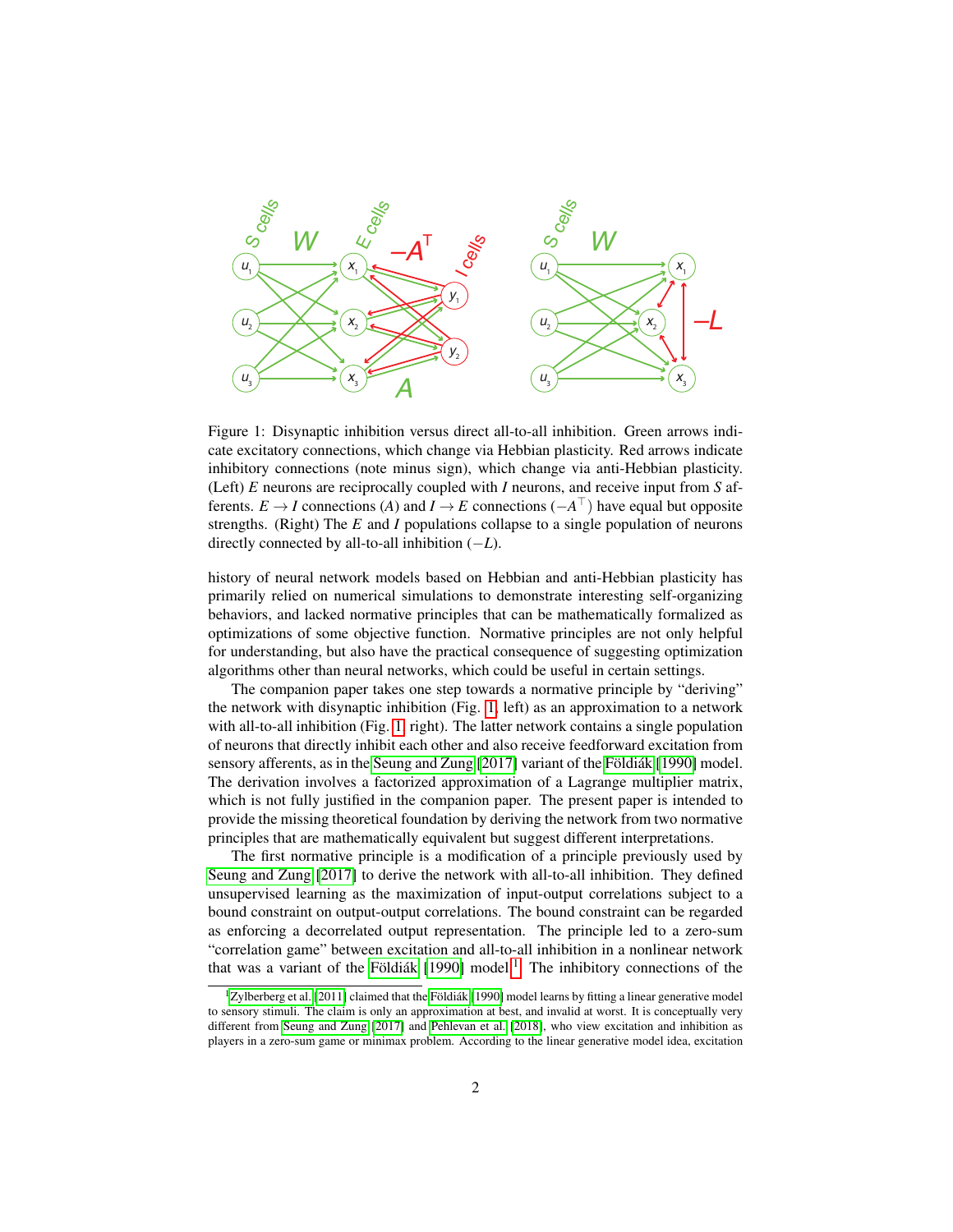

<span id="page-1-0"></span>Figure 1: Disynaptic inhibition versus direct all-to-all inhibition. Green arrows indicate excitatory connections, which change via Hebbian plasticity. Red arrows indicate inhibitory connections (note minus sign), which change via anti-Hebbian plasticity. (Left) *E* neurons are reciprocally coupled with *I* neurons, and receive input from *S* afferents. *E*  $\rightarrow$  *I* connections (*A*) and *I*  $\rightarrow$  *E* connections ( $-A^{\top}$ ) have equal but opposite strengths. (Right) The *E* and *I* populations collapse to a single population of neurons directly connected by all-to-all inhibition (−*L*).

history of neural network models based on Hebbian and anti-Hebbian plasticity has primarily relied on numerical simulations to demonstrate interesting self-organizing behaviors, and lacked normative principles that can be mathematically formalized as optimizations of some objective function. Normative principles are not only helpful for understanding, but also have the practical consequence of suggesting optimization algorithms other than neural networks, which could be useful in certain settings.

The companion paper takes one step towards a normative principle by "deriving" the network with disynaptic inhibition (Fig. [1,](#page-1-0) left) as an approximation to a network with all-to-all inhibition (Fig. [1,](#page-1-0) right). The latter network contains a single population of neurons that directly inhibit each other and also receive feedforward excitation from sensory afferents, as in the [Seung and Zung](#page-8-2) [\[2017\]](#page-8-2) variant of the [Földiák](#page-8-3) [\[1990\]](#page-8-3) model. The derivation involves a factorized approximation of a Lagrange multiplier matrix, which is not fully justified in the companion paper. The present paper is intended to provide the missing theoretical foundation by deriving the network from two normative principles that are mathematically equivalent but suggest different interpretations.

The first normative principle is a modification of a principle previously used by [Seung and Zung](#page-8-2) [\[2017\]](#page-8-2) to derive the network with all-to-all inhibition. They defined unsupervised learning as the maximization of input-output correlations subject to a bound constraint on output-output correlations. The bound constraint can be regarded as enforcing a decorrelated output representation. The principle led to a zero-sum "correlation game" between excitation and all-to-all inhibition in a nonlinear network that was a variant of the [Földiák](#page-8-3)  $[1990]$  model.<sup>[1](#page-1-1)</sup> The inhibitory connections of the

<span id="page-1-1"></span> $1Z$ ylberberg et al. [\[2011\]](#page-8-4) claimed that the [Földiák](#page-8-3) [\[1990\]](#page-8-3) model learns by fitting a linear generative model to sensory stimuli. The claim is only an approximation at best, and invalid at worst. It is conceptually very different from [Seung and Zung](#page-8-2) [\[2017\]](#page-8-2) and [Pehlevan et al.](#page-8-5) [\[2018\]](#page-8-5), who view excitation and inhibition as players in a zero-sum game or minimax problem. According to the linear generative model idea, excitation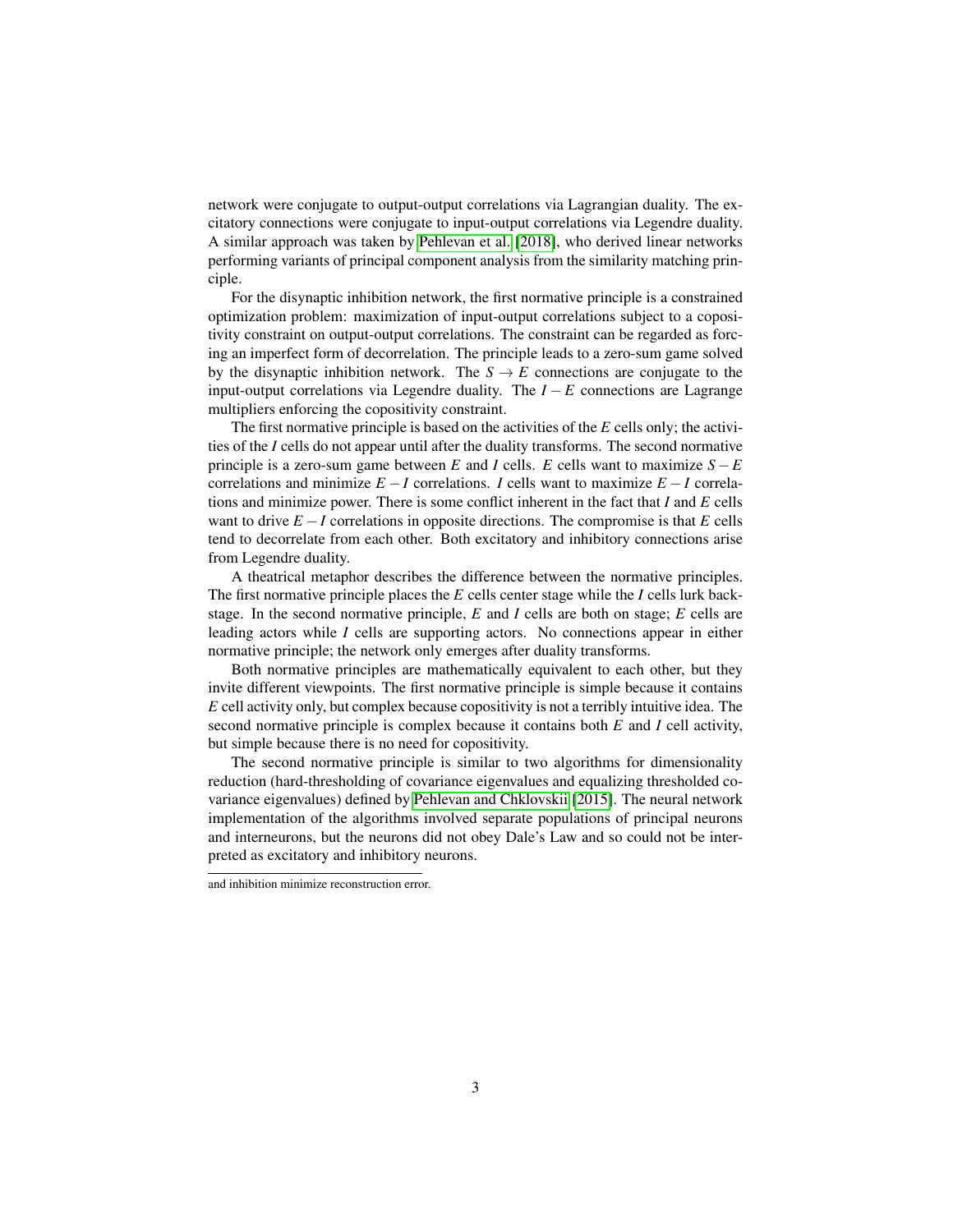network were conjugate to output-output correlations via Lagrangian duality. The excitatory connections were conjugate to input-output correlations via Legendre duality. A similar approach was taken by [Pehlevan et al.](#page-8-5) [\[2018\]](#page-8-5), who derived linear networks performing variants of principal component analysis from the similarity matching principle.

For the disynaptic inhibition network, the first normative principle is a constrained optimization problem: maximization of input-output correlations subject to a copositivity constraint on output-output correlations. The constraint can be regarded as forcing an imperfect form of decorrelation. The principle leads to a zero-sum game solved by the disynaptic inhibition network. The  $S \to E$  connections are conjugate to the input-output correlations via Legendre duality. The  $I - E$  connections are Lagrange multipliers enforcing the copositivity constraint.

The first normative principle is based on the activities of the *E* cells only; the activities of the *I* cells do not appear until after the duality transforms. The second normative principle is a zero-sum game between *E* and *I* cells. *E* cells want to maximize  $S - E$ correlations and minimize  $E - I$  correlations. *I* cells want to maximize  $E - I$  correlations and minimize power. There is some conflict inherent in the fact that *I* and *E* cells want to drive  $E - I$  correlations in opposite directions. The compromise is that  $E$  cells tend to decorrelate from each other. Both excitatory and inhibitory connections arise from Legendre duality.

A theatrical metaphor describes the difference between the normative principles. The first normative principle places the *E* cells center stage while the *I* cells lurk backstage. In the second normative principle, *E* and *I* cells are both on stage; *E* cells are leading actors while *I* cells are supporting actors. No connections appear in either normative principle; the network only emerges after duality transforms.

Both normative principles are mathematically equivalent to each other, but they invite different viewpoints. The first normative principle is simple because it contains *E* cell activity only, but complex because copositivity is not a terribly intuitive idea. The second normative principle is complex because it contains both *E* and *I* cell activity, but simple because there is no need for copositivity.

The second normative principle is similar to two algorithms for dimensionality reduction (hard-thresholding of covariance eigenvalues and equalizing thresholded covariance eigenvalues) defined by [Pehlevan and Chklovskii](#page-8-1) [\[2015\]](#page-8-1). The neural network implementation of the algorithms involved separate populations of principal neurons and interneurons, but the neurons did not obey Dale's Law and so could not be interpreted as excitatory and inhibitory neurons.

and inhibition minimize reconstruction error.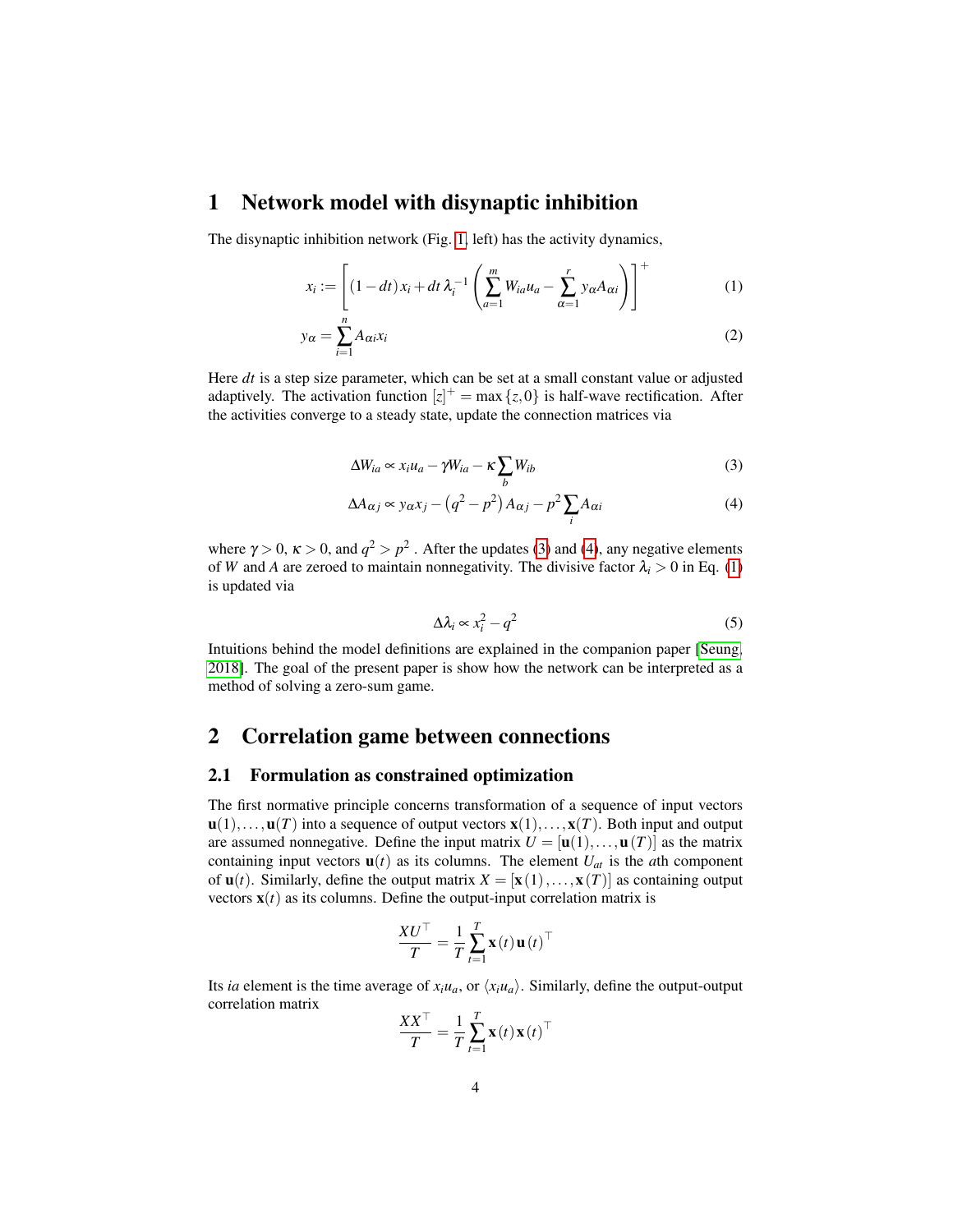## <span id="page-3-3"></span>1 Network model with disynaptic inhibition

The disynaptic inhibition network (Fig. [1,](#page-1-0) left) has the activity dynamics,

$$
x_i := \left[ (1 - dt)x_i + dt \lambda_i^{-1} \left( \sum_{a=1}^m W_{ia} u_a - \sum_{\alpha=1}^r y_\alpha A_{\alpha i} \right) \right]^+ \tag{1}
$$

$$
y_{\alpha} = \sum_{i=1}^{n} A_{\alpha i} x_i \tag{2}
$$

Here *dt* is a step size parameter, which can be set at a small constant value or adjusted adaptively. The activation function  $[z]^{+} = \max\{z, 0\}$  is half-wave rectification. After the activities converge to a steady state, update the connection matrices via

<span id="page-3-2"></span>
$$
\Delta W_{ia} \propto x_i u_a - \gamma W_{ia} - \kappa \sum_b W_{ib} \tag{3}
$$

$$
\Delta A_{\alpha j} \propto y_{\alpha} x_j - \left(q^2 - p^2\right) A_{\alpha j} - p^2 \sum_i A_{\alpha i} \tag{4}
$$

where  $\gamma > 0$ ,  $\kappa > 0$ , and  $q^2 > p^2$ . After the updates [\(3\)](#page-3-0) and [\(4\)](#page-3-1), any negative elements of *W* and *A* are zeroed to maintain nonnegativity. The divisive factor  $\lambda_i > 0$  in Eq. [\(1\)](#page-3-2) is updated via

<span id="page-3-1"></span><span id="page-3-0"></span>
$$
\Delta \lambda_i \propto x_i^2 - q^2 \tag{5}
$$

Intuitions behind the model definitions are explained in the companion paper [\[Seung,](#page-8-0) [2018\]](#page-8-0). The goal of the present paper is show how the network can be interpreted as a method of solving a zero-sum game.

## 2 Correlation game between connections

#### 2.1 Formulation as constrained optimization

The first normative principle concerns transformation of a sequence of input vectors  $\mathbf{u}(1),...,\mathbf{u}(T)$  into a sequence of output vectors  $\mathbf{x}(1),...,\mathbf{x}(T)$ . Both input and output are assumed nonnegative. Define the input matrix  $U = [\mathbf{u}(1), \dots, \mathbf{u}(T)]$  as the matrix containing input vectors  $\mathbf{u}(t)$  as its columns. The element  $U_{at}$  is the *a*th component of  $\mathbf{u}(t)$ . Similarly, define the output matrix  $X = [\mathbf{x}(1),...,\mathbf{x}(T)]$  as containing output vectors  $\mathbf{x}(t)$  as its columns. Define the output-input correlation matrix is

$$
\frac{XU^\top}{T} = \frac{1}{T} \sum_{t=1}^T \mathbf{x}(t) \mathbf{u}(t)^\top
$$

Its *ia* element is the time average of  $x_iu_a$ , or  $\langle x_iu_a \rangle$ . Similarly, define the output-output correlation matrix

$$
\frac{XX^{\top}}{T} = \frac{1}{T} \sum_{t=1}^{T} \mathbf{x}(t) \mathbf{x}(t)^{\top}
$$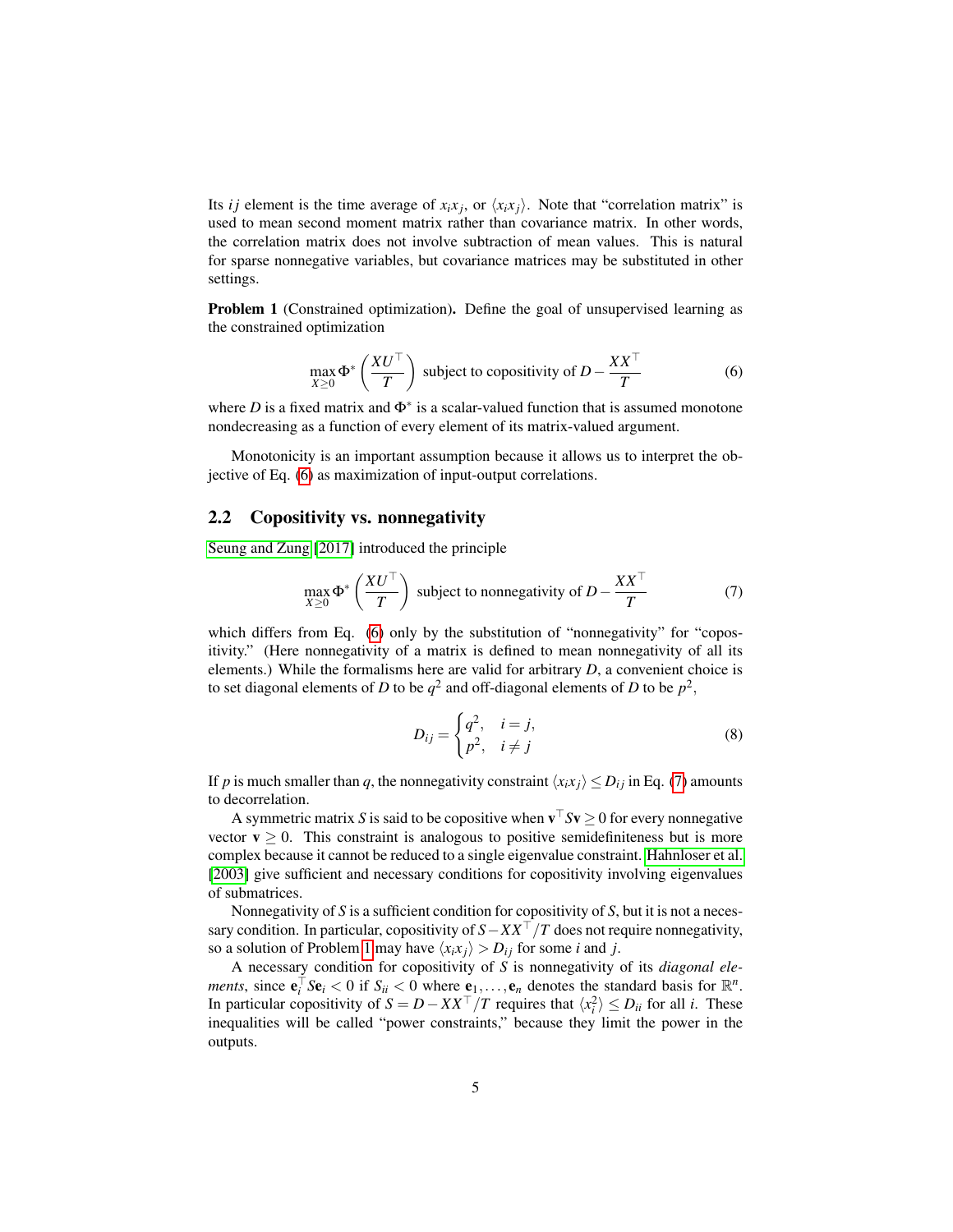Its *i j* element is the time average of  $x_i x_j$ , or  $\langle x_i x_j \rangle$ . Note that "correlation matrix" is used to mean second moment matrix rather than covariance matrix. In other words, the correlation matrix does not involve subtraction of mean values. This is natural for sparse nonnegative variables, but covariance matrices may be substituted in other settings.

<span id="page-4-2"></span>Problem 1 (Constrained optimization). Define the goal of unsupervised learning as the constrained optimization

<span id="page-4-0"></span>
$$
\max_{X \ge 0} \Phi^* \left( \frac{XU^\top}{T} \right) \text{ subject to copositivity of } D - \frac{XX^\top}{T}
$$
 (6)

where  $D$  is a fixed matrix and  $\Phi^*$  is a scalar-valued function that is assumed monotone nondecreasing as a function of every element of its matrix-valued argument.

Monotonicity is an important assumption because it allows us to interpret the objective of Eq. [\(6\)](#page-4-0) as maximization of input-output correlations.

#### 2.2 Copositivity vs. nonnegativity

[Seung and Zung](#page-8-2) [\[2017\]](#page-8-2) introduced the principle

<span id="page-4-1"></span>
$$
\max_{X \ge 0} \Phi^* \left( \frac{XU^\top}{T} \right) \text{ subject to nonnegativity of } D - \frac{XX^\top}{T} \tag{7}
$$

which differs from Eq. [\(6\)](#page-4-0) only by the substitution of "nonnegativity" for "copositivity." (Here nonnegativity of a matrix is defined to mean nonnegativity of all its elements.) While the formalisms here are valid for arbitrary *D*, a convenient choice is to set diagonal elements of *D* to be  $q^2$  and off-diagonal elements of *D* to be  $p^2$ ,

$$
D_{ij} = \begin{cases} q^2, & i = j, \\ p^2, & i \neq j \end{cases}
$$
 (8)

If *p* is much smaller than *q*, the nonnegativity constraint  $\langle x_i x_j \rangle \le D_{ij}$  in Eq. [\(7\)](#page-4-1) amounts to decorrelation.

A symmetric matrix *S* is said to be copositive when  $\mathbf{v}^\top S \mathbf{v} \ge 0$  for every nonnegative vector  $v \ge 0$ . This constraint is analogous to positive semidefiniteness but is more complex because it cannot be reduced to a single eigenvalue constraint. [Hahnloser et al.](#page-8-6) [\[2003\]](#page-8-6) give sufficient and necessary conditions for copositivity involving eigenvalues of submatrices.

Nonnegativity of *S* is a sufficient condition for copositivity of *S*, but it is not a necessary condition. In particular, copositivity of  $S - XX<sup>T</sup>/T$  does not require nonnegativity, so a solution of Problem [1](#page-4-2) may have  $\langle x_i x_j \rangle > D_{ij}$  for some *i* and *j*.

A necessary condition for copositivity of *S* is nonnegativity of its *diagonal elements*, since  $\mathbf{e}_i^{\top} S \mathbf{e}_i < 0$  if  $S_{ii} < 0$  where  $\underline{\mathbf{e}}_1, \dots, \mathbf{e}_n$  denotes the standard basis for  $\mathbb{R}^n$ . In particular copositivity of  $S = D - XX^\top / T$  requires that  $\langle x_i^2 \rangle \le D_{ii}$  for all *i*. These inequalities will be called "power constraints," because they limit the power in the outputs.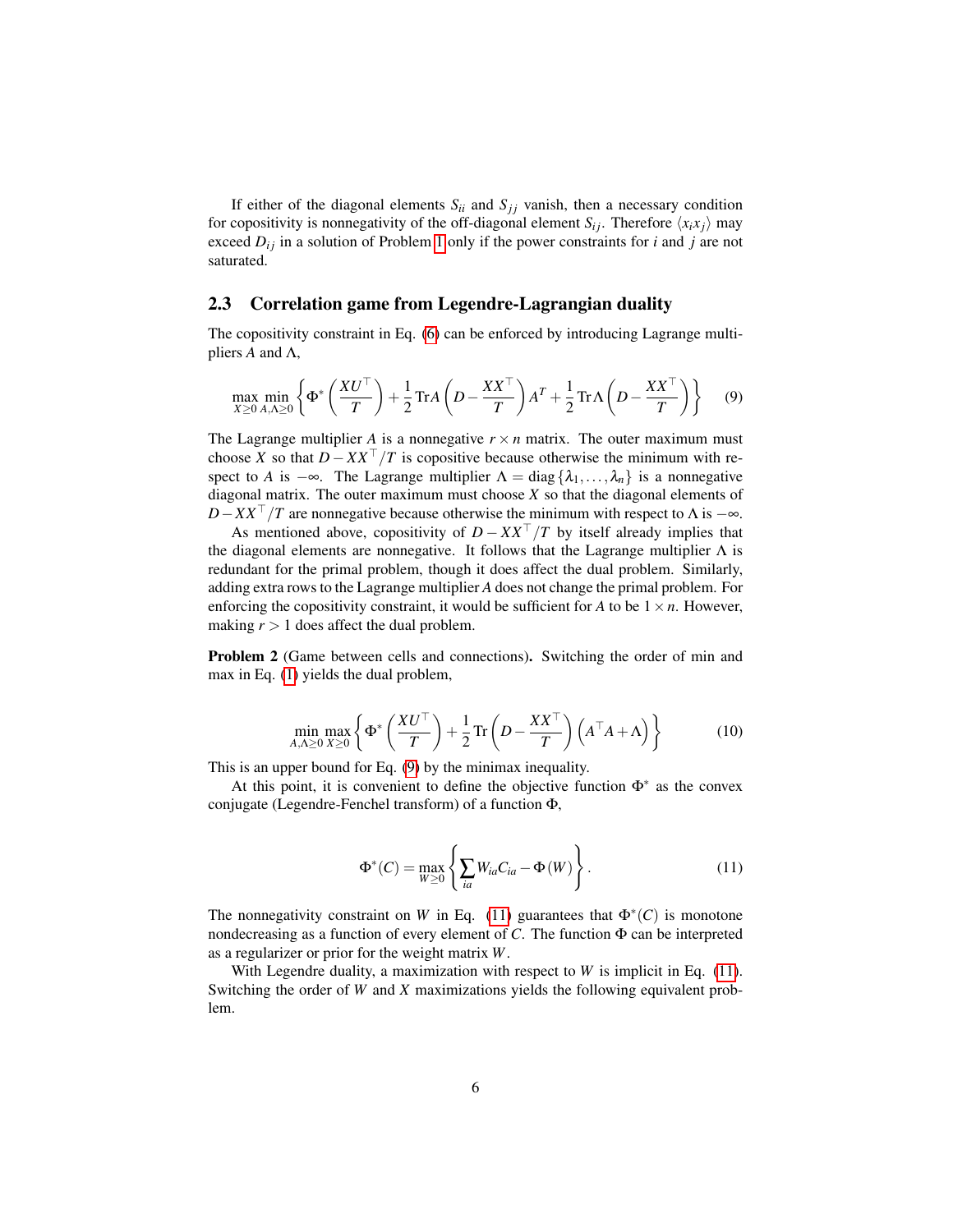If either of the diagonal elements  $S_{ii}$  and  $S_{jj}$  vanish, then a necessary condition for copositivity is nonnegativity of the off-diagonal element  $S_{ij}$ . Therefore  $\langle x_i x_j \rangle$  may exceed  $D_{ij}$  in a solution of Problem [1](#page-4-2) only if the power constraints for *i* and *j* are not saturated.

### 2.3 Correlation game from Legendre-Lagrangian duality

The copositivity constraint in Eq. [\(6\)](#page-4-0) can be enforced by introducing Lagrange multipliers *A* and Λ,

<span id="page-5-0"></span>
$$
\max_{X \ge 0} \min_{A, \Lambda \ge 0} \left\{ \Phi^* \left( \frac{X U^\top}{T} \right) + \frac{1}{2} \text{Tr} A \left( D - \frac{X X^\top}{T} \right) A^T + \frac{1}{2} \text{Tr} \Lambda \left( D - \frac{X X^\top}{T} \right) \right\} \tag{9}
$$

The Lagrange multiplier *A* is a nonnegative  $r \times n$  matrix. The outer maximum must choose *X* so that  $D - XX^{\top}/T$  is copositive because otherwise the minimum with respect to *A* is  $-\infty$ . The Lagrange multiplier  $\Lambda = \text{diag} \{\lambda_1, \ldots, \lambda_n\}$  is a nonnegative diagonal matrix. The outer maximum must choose *X* so that the diagonal elements of  $D - XX^{\top}/T$  are nonnegative because otherwise the minimum with respect to  $\Lambda$  is  $-\infty$ .

As mentioned above, copositivity of  $D - XX^{\top}/T$  by itself already implies that the diagonal elements are nonnegative. It follows that the Lagrange multiplier  $\Lambda$  is redundant for the primal problem, though it does affect the dual problem. Similarly, adding extra rows to the Lagrange multiplier *A* does not change the primal problem. For enforcing the copositivity constraint, it would be sufficient for *A* to be  $1 \times n$ . However, making  $r > 1$  does affect the dual problem.

Problem 2 (Game between cells and connections). Switching the order of min and max in Eq. [\(1\)](#page-4-2) yields the dual problem,

$$
\min_{A,\Lambda \ge 0} \max_{X \ge 0} \left\{ \Phi^* \left( \frac{X U^\top}{T} \right) + \frac{1}{2} \operatorname{Tr} \left( D - \frac{X X^\top}{T} \right) \left( A^\top A + \Lambda \right) \right\} \tag{10}
$$

This is an upper bound for Eq. [\(9\)](#page-5-0) by the minimax inequality.

At this point, it is convenient to define the objective function  $\Phi^*$  as the convex conjugate (Legendre-Fenchel transform) of a function Φ,

<span id="page-5-1"></span>
$$
\Phi^*(C) = \max_{W \ge 0} \left\{ \sum_{ia} W_{ia} C_{ia} - \Phi(W) \right\}.
$$
 (11)

The nonnegativity constraint on *W* in Eq. [\(11\)](#page-5-1) guarantees that  $\Phi^*(C)$  is monotone nondecreasing as a function of every element of  $C$ . The function  $\Phi$  can be interpreted as a regularizer or prior for the weight matrix *W*.

With Legendre duality, a maximization with respect to *W* is implicit in Eq. [\(11\)](#page-5-1). Switching the order of *W* and *X* maximizations yields the following equivalent problem.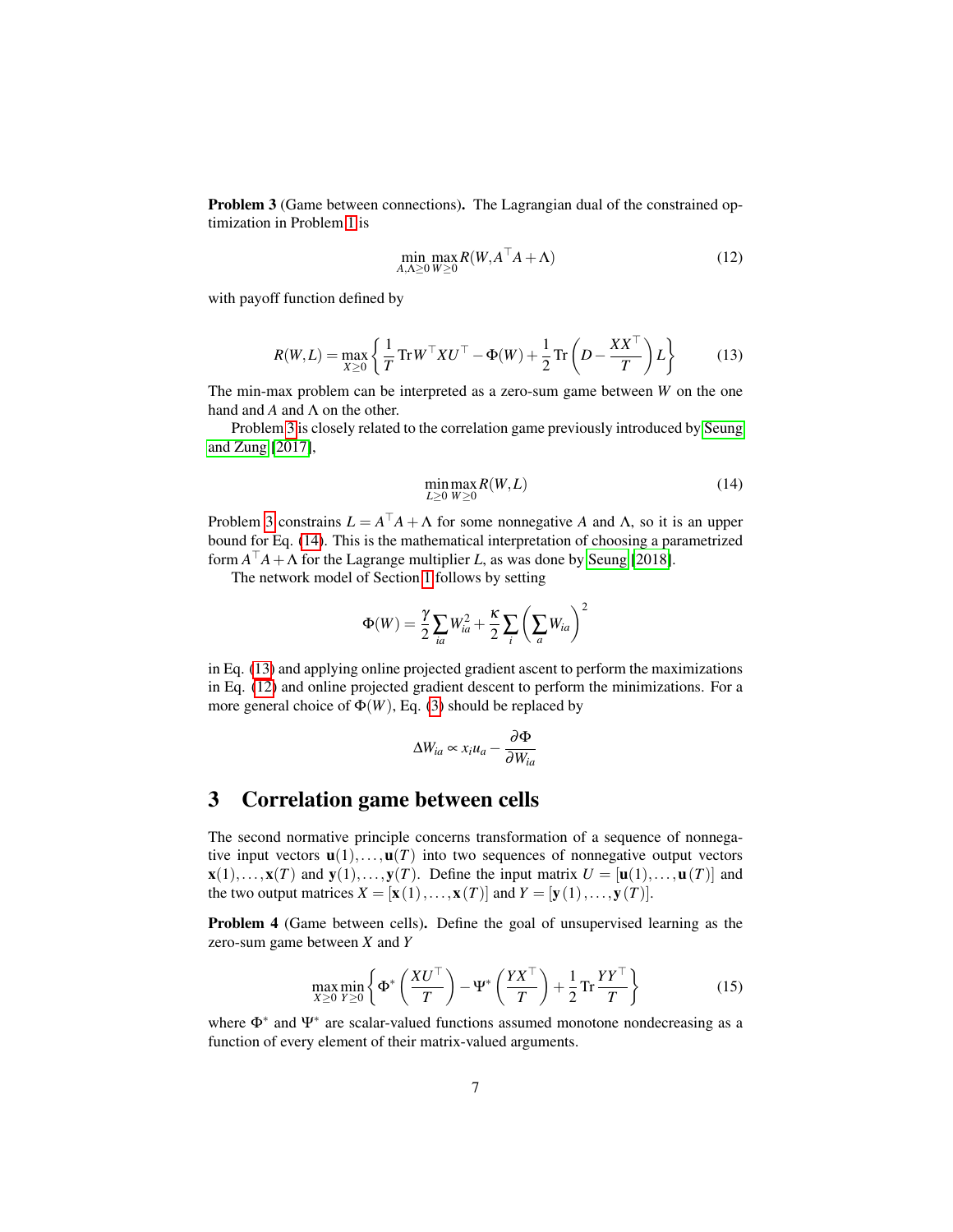<span id="page-6-0"></span>Problem 3 (Game between connections). The Lagrangian dual of the constrained optimization in Problem [1](#page-4-2) is

<span id="page-6-3"></span>
$$
\min_{A,\Lambda \ge 0} \max_{W \ge 0} R(W, A^\top A + \Lambda) \tag{12}
$$

with payoff function defined by

<span id="page-6-2"></span>
$$
R(W, L) = \max_{X \ge 0} \left\{ \frac{1}{T} \operatorname{Tr} W^\top X U^\top - \Phi(W) + \frac{1}{2} \operatorname{Tr} \left( D - \frac{XX^\top}{T} \right) L \right\}
$$
(13)

The min-max problem can be interpreted as a zero-sum game between *W* on the one hand and  $A$  and  $\Lambda$  on the other.

Problem [3](#page-6-0) is closely related to the correlation game previously introduced by [Seung](#page-8-2) [and Zung](#page-8-2) [\[2017\]](#page-8-2),

<span id="page-6-1"></span>
$$
\min_{L\geq 0} \max_{W\geq 0} R(W, L) \tag{14}
$$

Problem [3](#page-6-0) constrains  $L = A^{\top}A + \Lambda$  for some nonnegative *A* and  $\Lambda$ , so it is an upper bound for Eq. [\(14\)](#page-6-1). This is the mathematical interpretation of choosing a parametrized form  $A^{\top}A + \Lambda$  for the Lagrange multiplier *L*, as was done by [Seung](#page-8-0) [\[2018\]](#page-8-0).

The network model of Section [1](#page-3-3) follows by setting

$$
\Phi(W) = \frac{\gamma}{2} \sum_{ia} W_{ia}^2 + \frac{\kappa}{2} \sum_i \left( \sum_a W_{ia} \right)^2
$$

in Eq. [\(13\)](#page-6-2) and applying online projected gradient ascent to perform the maximizations in Eq. [\(12\)](#page-6-3) and online projected gradient descent to perform the minimizations. For a more general choice of  $\Phi(W)$ , Eq. [\(3\)](#page-3-0) should be replaced by

$$
\Delta W_{ia} \propto x_i u_a - \frac{\partial \Phi}{\partial W_{ia}}
$$

## 3 Correlation game between cells

The second normative principle concerns transformation of a sequence of nonnegative input vectors  $\mathbf{u}(1),...,\mathbf{u}(T)$  into two sequences of nonnegative output vectors  $\mathbf{x}(1),...,\mathbf{x}(T)$  and  $\mathbf{y}(1),...,\mathbf{y}(T)$ . Define the input matrix  $U = [\mathbf{u}(1),...,\mathbf{u}(T)]$  and the two output matrices  $X = [\mathbf{x}(1),...,\mathbf{x}(T)]$  and  $Y = [\mathbf{y}(1),...,\mathbf{y}(T)]$ .

<span id="page-6-4"></span>Problem 4 (Game between cells). Define the goal of unsupervised learning as the zero-sum game between *X* and *Y*

<span id="page-6-5"></span>
$$
\max_{X \ge 0} \min_{Y \ge 0} \left\{ \Phi^* \left( \frac{XU^\top}{T} \right) - \Psi^* \left( \frac{YX^\top}{T} \right) + \frac{1}{2} \operatorname{Tr} \frac{YY^\top}{T} \right\} \tag{15}
$$

where  $\Phi^*$  and  $\Psi^*$  are scalar-valued functions assumed monotone nondecreasing as a function of every element of their matrix-valued arguments.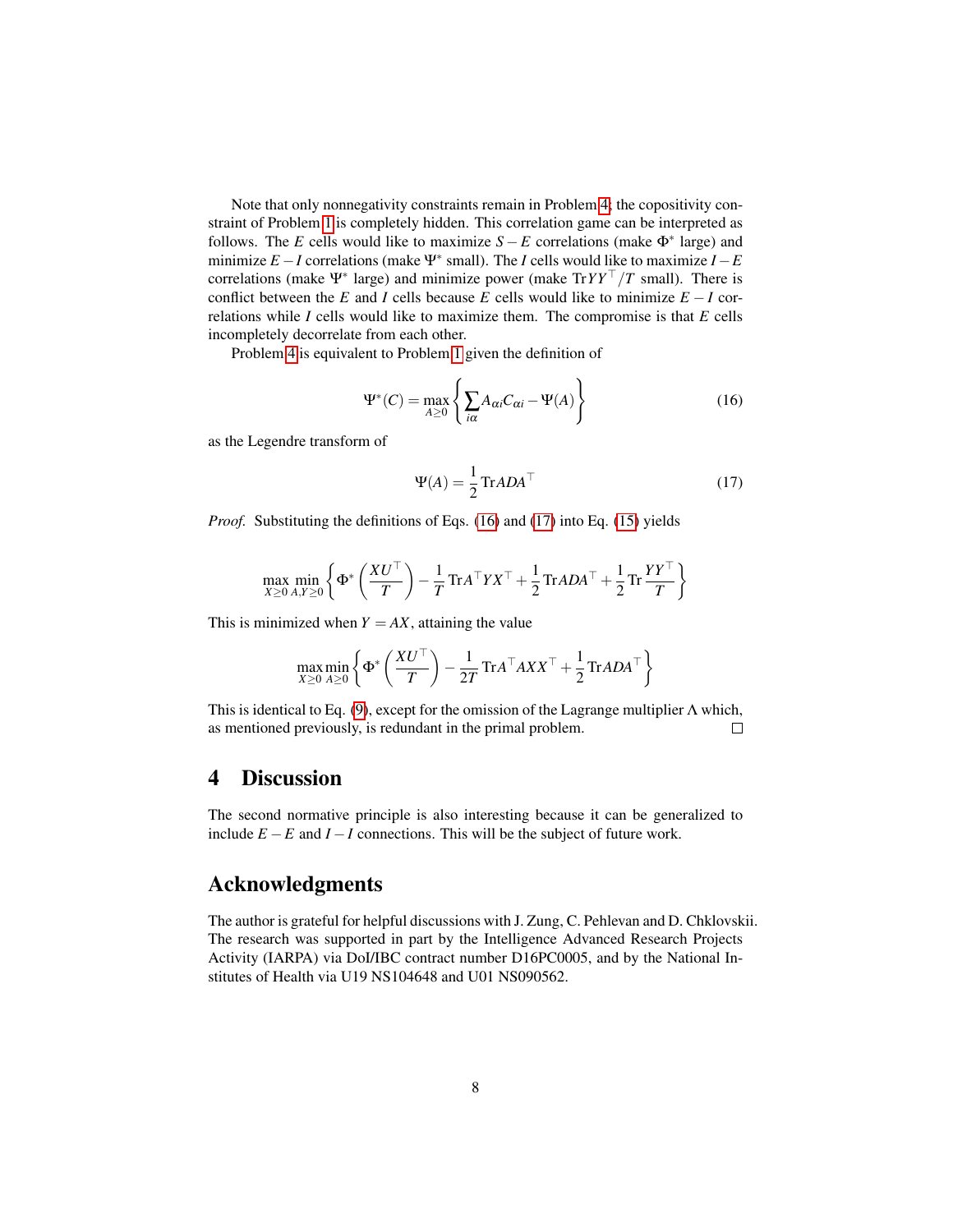Note that only nonnegativity constraints remain in Problem [4;](#page-6-4) the copositivity constraint of Problem [1](#page-4-2) is completely hidden. This correlation game can be interpreted as follows. The *E* cells would like to maximize  $S - E$  correlations (make  $\Phi^*$  large) and minimize *E* −*I* correlations (make Ψ<sup>∗</sup> small). The *I* cells would like to maximize *I* −*E* correlations (make Ψ<sup>∗</sup> large) and minimize power (make Tr*YY*<sup>™</sup> /*T* small). There is conflict between the *E* and *I* cells because *E* cells would like to minimize  $E - I$  correlations while *I* cells would like to maximize them. The compromise is that *E* cells incompletely decorrelate from each other.

Problem [4](#page-6-4) is equivalent to Problem [1](#page-4-2) given the definition of

<span id="page-7-0"></span>
$$
\Psi^*(C) = \max_{A \ge 0} \left\{ \sum_{i\alpha} A_{\alpha i} C_{\alpha i} - \Psi(A) \right\}
$$
 (16)

as the Legendre transform of

<span id="page-7-1"></span>
$$
\Psi(A) = \frac{1}{2} \text{Tr} A D A^{\top}
$$
 (17)

*Proof.* Substituting the definitions of Eqs. [\(16\)](#page-7-0) and [\(17\)](#page-7-1) into Eq. [\(15\)](#page-6-5) yields

$$
\max_{X \ge 0} \min_{A,Y \ge 0} \left\{ \Phi^* \left( \frac{XU^\top}{T} \right) - \frac{1}{T} \text{Tr} A^\top Y X^\top + \frac{1}{2} \text{Tr} A D A^\top + \frac{1}{2} \text{Tr} \frac{Y Y^\top}{T} \right\}
$$

This is minimized when  $Y = AX$ , attaining the value

$$
\max_{X \ge 0} \min_{A \ge 0} \left\{ \Phi^* \left( \frac{XU^\top}{T} \right) - \frac{1}{2T} \text{Tr} A^\top A X X^\top + \frac{1}{2} \text{Tr} A D A^\top \right\}
$$

This is identical to Eq. [\(9\)](#page-5-0), except for the omission of the Lagrange multiplier  $\Lambda$  which, as mentioned previously, is redundant in the primal problem.  $\Box$ 

## 4 Discussion

The second normative principle is also interesting because it can be generalized to include *E* −*E* and *I* −*I* connections. This will be the subject of future work.

## Acknowledgments

The author is grateful for helpful discussions with J. Zung, C. Pehlevan and D. Chklovskii. The research was supported in part by the Intelligence Advanced Research Projects Activity (IARPA) via DoI/IBC contract number D16PC0005, and by the National Institutes of Health via U19 NS104648 and U01 NS090562.